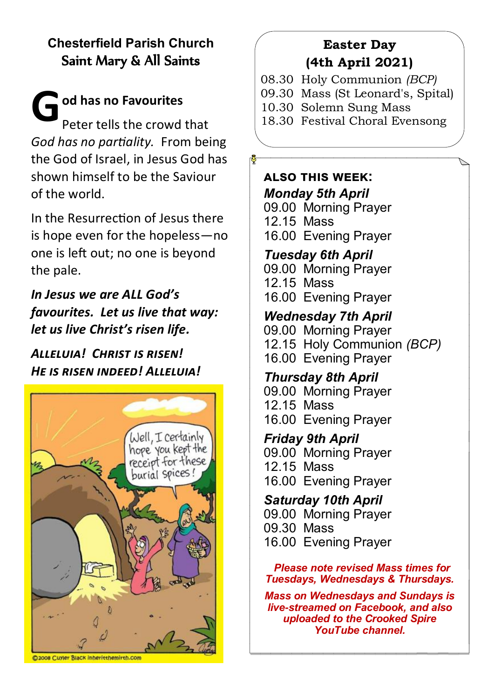# **Chesterfield Parish Church** Saint Mary & All Saints

**G od has no Favourites** Peter tells the crowd that *God has no partiality.* From being the God of Israel, in Jesus God has shown himself to be the Saviour of the world.

In the Resurrection of Jesus there is hope even for the hopeless—no one is left out; no one is beyond the pale.

*In Jesus we are ALL God's favourites. Let us live that way: let us live Christ's risen life.*

*Alleluia! Christ is risen! He is risen indeed! Alleluia!*



#### **D2008 Cuyler Black Inheritthemirth.com**

### **Easter Day (4th April 2021)**

- 08.30 Holy Communion *(BCP)*
- 09.30 Mass (St Leonard's, Spital)
- 10.30 Solemn Sung Mass
- 18.30 Festival Choral Evensong

### **also this week:** *Monday 5th April*

09.00 Morning Prayer 12.15 Mass 16.00 Evening Prayer

# *Tuesday 6th April*

09.00 Morning Prayer 12.15 Mass 16.00 Evening Prayer

### *Wednesday 7th April*

09.00 Morning Prayer 12.15 Holy Communion *(BCP)* 16.00 Evening Prayer

### *Thursday 8th April*

09.00 Morning Prayer 12.15 Mass 16.00 Evening Prayer

*Friday 9th April* 09.00 Morning Prayer 12.15 Mass 16.00 Evening Prayer

*Saturday 10th April* 09.00 Morning Prayer 09.30 Mass 16.00 Evening Prayer

#### *Please note revised Mass times for Tuesdays, Wednesdays & Thursdays.*

*Mass on Wednesdays and Sundays is live-streamed on Facebook, and also uploaded to the Crooked Spire YouTube channel.*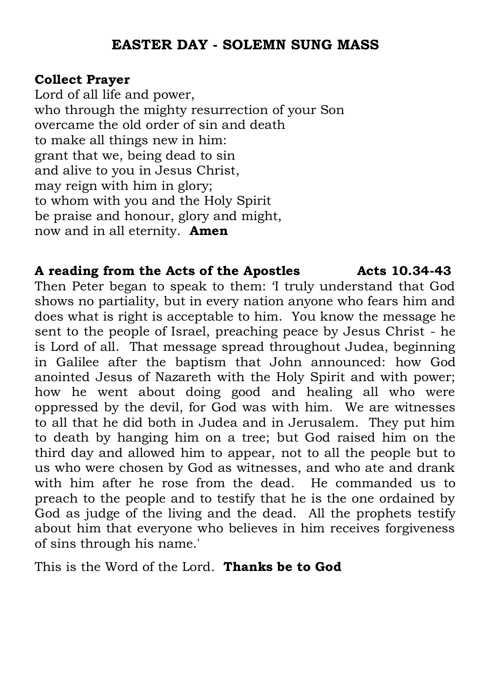### **EASTER DAY - SOLEMN SUNG MASS**

### **Collect Prayer**

Lord of all life and power, who through the mighty resurrection of your Son overcame the old order of sin and death to make all things new in him: grant that we, being dead to sin and alive to you in Jesus Christ, may reign with him in glory; to whom with you and the Holy Spirit be praise and honour, glory and might, now and in all eternity. **Amen**

### **A reading from the Acts of the Apostles Acts 10.34-43**

Then Peter began to speak to them: 'I truly understand that God shows no partiality, but in every nation anyone who fears him and does what is right is acceptable to him. You know the message he sent to the people of Israel, preaching peace by Jesus Christ - he is Lord of all. That message spread throughout Judea, beginning in Galilee after the baptism that John announced: how God anointed Jesus of Nazareth with the Holy Spirit and with power; how he went about doing good and healing all who were oppressed by the devil, for God was with him. We are witnesses to all that he did both in Judea and in Jerusalem. They put him to death by hanging him on a tree; but God raised him on the third day and allowed him to appear, not to all the people but to us who were chosen by God as witnesses, and who ate and drank with him after he rose from the dead. He commanded us to preach to the people and to testify that he is the one ordained by God as judge of the living and the dead. All the prophets testify about him that everyone who believes in him receives forgiveness of sins through his name.'

This is the Word of the Lord. **Thanks be to God**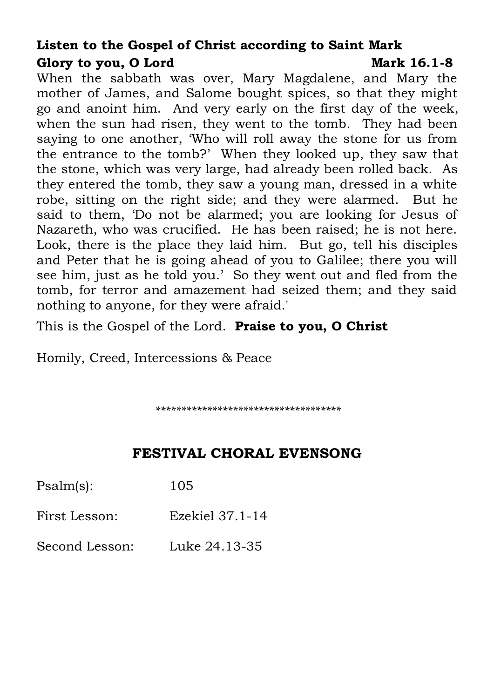## **Listen to the Gospel of Christ according to Saint Mark** Glory to you, O Lord Mark 16.1-8

When the sabbath was over, Mary Magdalene, and Mary the mother of James, and Salome bought spices, so that they might go and anoint him. And very early on the first day of the week, when the sun had risen, they went to the tomb. They had been saying to one another, 'Who will roll away the stone for us from the entrance to the tomb?' When they looked up, they saw that the stone, which was very large, had already been rolled back. As they entered the tomb, they saw a young man, dressed in a white robe, sitting on the right side; and they were alarmed. But he said to them, 'Do not be alarmed; you are looking for Jesus of Nazareth, who was crucified. He has been raised; he is not here. Look, there is the place they laid him. But go, tell his disciples and Peter that he is going ahead of you to Galilee; there you will see him, just as he told you.' So they went out and fled from the tomb, for terror and amazement had seized them; and they said nothing to anyone, for they were afraid.'

This is the Gospel of the Lord. **Praise to you, O Christ**

Homily, Creed, Intercessions & Peace

*\*\*\*\*\*\*\*\*\*\*\*\*\*\*\*\*\*\*\*\*\*\*\*\*\*\*\*\*\*\*\*\*\*\*\*\**

# **FESTIVAL CHORAL EVENSONG**

| Psalm(s):      | 105             |
|----------------|-----------------|
| First Lesson:  | Ezekiel 37.1-14 |
| Second Lesson: | Luke 24.13-35   |